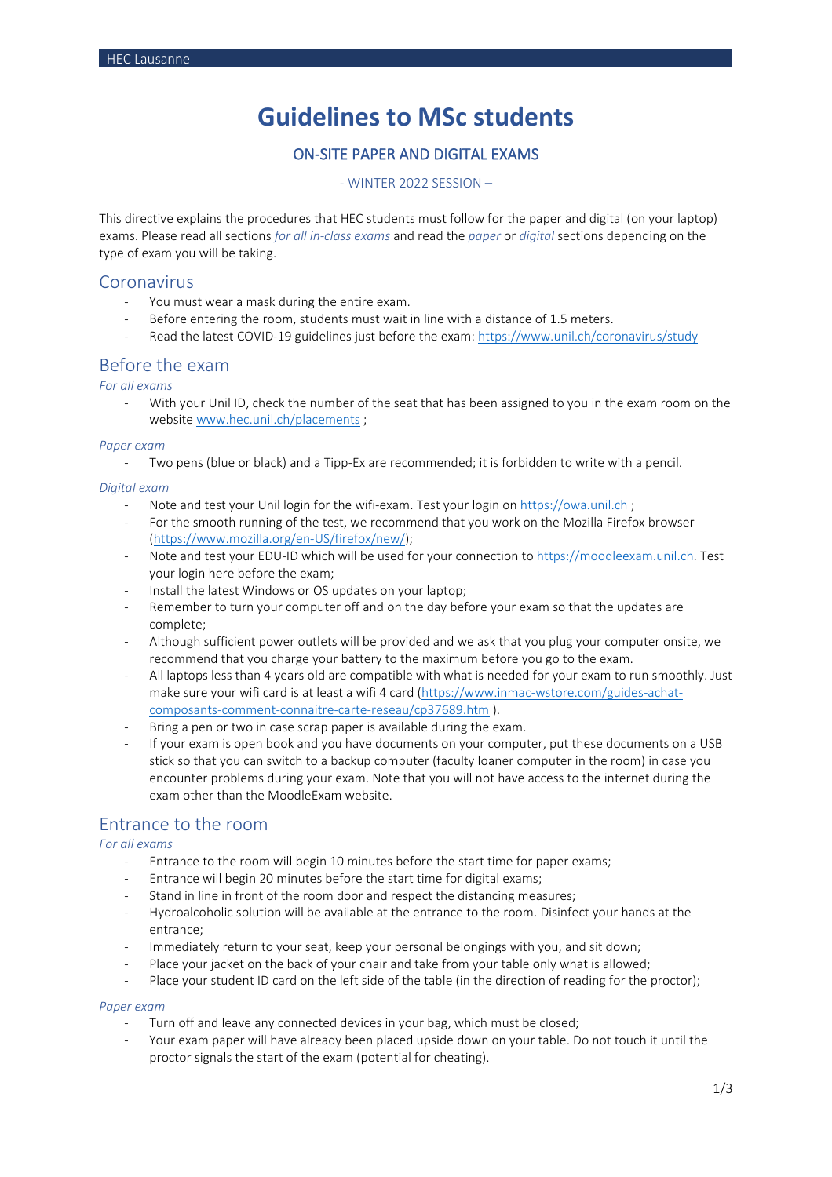# **Guidelines to MSc students**

# ON-SITE PAPER AND DIGITAL EXAMS

### - WINTER 2022 SESSION –

This directive explains the procedures that HEC students must follow for the paper and digital (on your laptop) exams. Please read all sections *for all in-class exams* and read the *paper* or *digital* sections depending on the type of exam you will be taking.

### Coronavirus

- You must wear a mask during the entire exam.
- Before entering the room, students must wait in line with a distance of 1.5 meters.
- Read the latest COVID-19 guidelines just before the exam: https://www.unil.ch/coronavirus/study

### Before the exam

*For all exams*

With your Unil ID, check the number of the seat that has been assigned to you in the exam room on the websit[e www.hec.unil.ch/placements](http://www.hec.unil.ch/placements) ;

### *Paper exam*

Two pens (blue or black) and a Tipp-Ex are recommended; it is forbidden to write with a pencil.

### *Digital exam*

- Note and test your Unil login for the wifi-exam. Test your login on [https://owa.unil.ch](https://owa.unil.ch/) ;
- For the smooth running of the test, we recommend that you work on the Mozilla Firefox browser [\(https://www.mozilla.org/en-US/firefox/new/\)](https://www.mozilla.org/en-US/firefox/new/);
- Note and test your EDU-ID which will be used for your connection to [https://moodleexam.unil.ch.](https://moodleexam.unil.ch/) Test your login here before the exam;
- Install the latest Windows or OS updates on your laptop;
- Remember to turn your computer off and on the day before your exam so that the updates are complete;
- Although sufficient power outlets will be provided and we ask that you plug your computer onsite, we recommend that you charge your battery to the maximum before you go to the exam.
- All laptops less than 4 years old are compatible with what is needed for your exam to run smoothly. Just make sure your wifi card is at least a wifi 4 card [\(https://www.inmac-wstore.com/guides-achat](https://www.inmac-wstore.com/guides-achat-composants-comment-connaitre-carte-reseau/cp37689.htm)[composants-comment-connaitre-carte-reseau/cp37689.htm](https://www.inmac-wstore.com/guides-achat-composants-comment-connaitre-carte-reseau/cp37689.htm) ).
- Bring a pen or two in case scrap paper is available during the exam.
- If your exam is open book and you have documents on your computer, put these documents on a USB stick so that you can switch to a backup computer (faculty loaner computer in the room) in case you encounter problems during your exam. Note that you will not have access to the internet during the exam other than the MoodleExam website.

# Entrance to the room

*For all exams*

- Entrance to the room will begin 10 minutes before the start time for paper exams;
- Entrance will begin 20 minutes before the start time for digital exams;
- Stand in line in front of the room door and respect the distancing measures;
- Hydroalcoholic solution will be available at the entrance to the room. Disinfect your hands at the entrance;
- Immediately return to your seat, keep your personal belongings with you, and sit down;
- Place your jacket on the back of your chair and take from your table only what is allowed;
- Place your student ID card on the left side of the table (in the direction of reading for the proctor);

### *Paper exam*

- Turn off and leave any connected devices in your bag, which must be closed;
- Your exam paper will have already been placed upside down on your table. Do not touch it until the proctor signals the start of the exam (potential for cheating).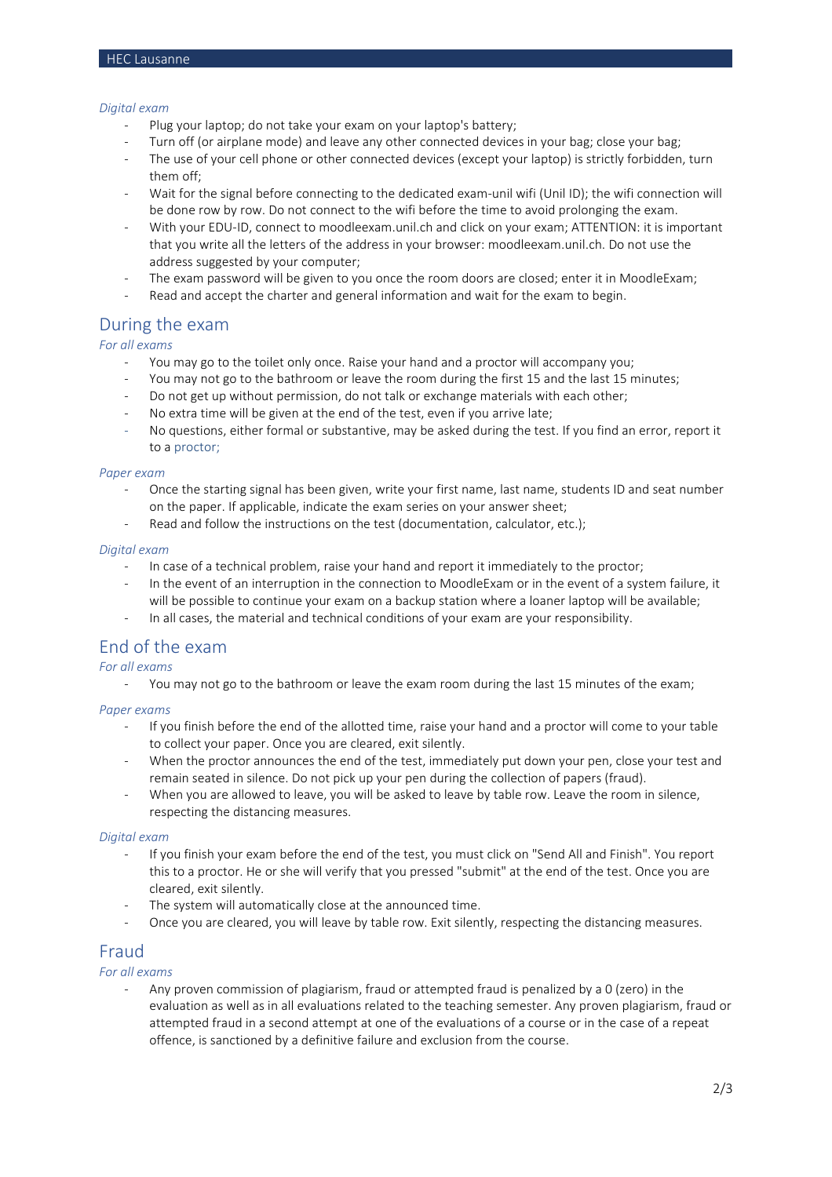### *Digital exam*

- Plug your laptop; do not take your exam on your laptop's battery;
- Turn off (or airplane mode) and leave any other connected devices in your bag; close your bag;
- The use of your cell phone or other connected devices (except your laptop) is strictly forbidden, turn them off;
- Wait for the signal before connecting to the dedicated exam-unil wifi (Unil ID); the wifi connection will be done row by row. Do not connect to the wifi before the time to avoid prolonging the exam.
- With your EDU-ID, connect to moodleexam.unil.ch and click on your exam; ATTENTION: it is important that you write all the letters of the address in your browser: moodleexam.unil.ch. Do not use the address suggested by your computer;
- The exam password will be given to you once the room doors are closed; enter it in MoodleExam;
- Read and accept the charter and general information and wait for the exam to begin.

# During the exam

### *For all exams*

- You may go to the toilet only once. Raise your hand and a proctor will accompany you;
- You may not go to the bathroom or leave the room during the first 15 and the last 15 minutes;
- Do not get up without permission, do not talk or exchange materials with each other;
- No extra time will be given at the end of the test, even if you arrive late;
- No questions, either formal or substantive, may be asked during the test. If you find an error, report it to a proctor;

#### *Paper exam*

- Once the starting signal has been given, write your first name, last name, students ID and seat number on the paper. If applicable, indicate the exam series on your answer sheet;
- Read and follow the instructions on the test (documentation, calculator, etc.);

#### *Digital exam*

- In case of a technical problem, raise your hand and report it immediately to the proctor;
- In the event of an interruption in the connection to MoodleExam or in the event of a system failure, it will be possible to continue your exam on a backup station where a loaner laptop will be available;
- In all cases, the material and technical conditions of your exam are your responsibility.

# End of the exam

### *For all exams*

- You may not go to the bathroom or leave the exam room during the last 15 minutes of the exam;

### *Paper exams*

- If you finish before the end of the allotted time, raise your hand and a proctor will come to your table to collect your paper. Once you are cleared, exit silently.
- When the proctor announces the end of the test, immediately put down your pen, close your test and remain seated in silence. Do not pick up your pen during the collection of papers (fraud).
- When you are allowed to leave, you will be asked to leave by table row. Leave the room in silence, respecting the distancing measures.

#### *Digital exam*

- If you finish your exam before the end of the test, you must click on "Send All and Finish". You report this to a proctor. He or she will verify that you pressed "submit" at the end of the test. Once you are cleared, exit silently.
- The system will automatically close at the announced time.
- Once you are cleared, you will leave by table row. Exit silently, respecting the distancing measures.

# Fraud

### *For all exams*

Any proven commission of plagiarism, fraud or attempted fraud is penalized by a 0 (zero) in the evaluation as well as in all evaluations related to the teaching semester. Any proven plagiarism, fraud or attempted fraud in a second attempt at one of the evaluations of a course or in the case of a repeat offence, is sanctioned by a definitive failure and exclusion from the course.